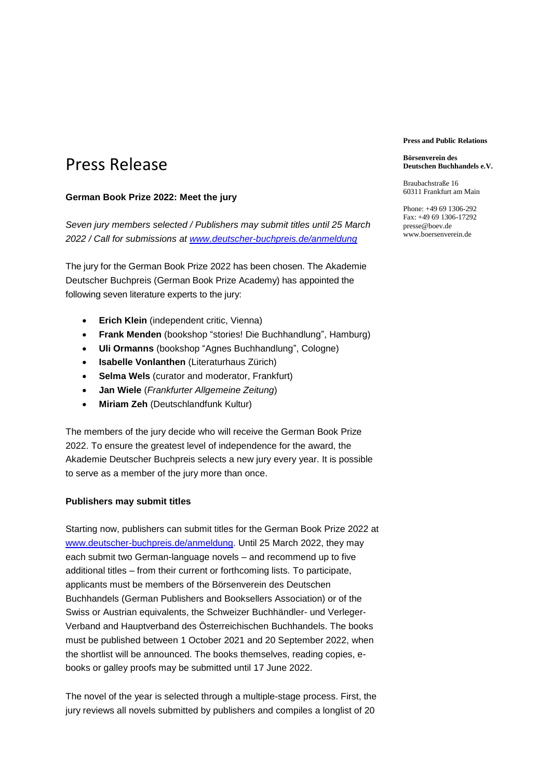# Press Release

## **German Book Prize 2022: Meet the jury**

*Seven jury members selected / Publishers may submit titles until 25 March 2022 / Call for submissions at [www.deutscher-buchpreis.de/anmeldung](https://anmeldung.deutscher-buchpreis.de/)*

The jury for the German Book Prize 2022 has been chosen. The Akademie Deutscher Buchpreis (German Book Prize Academy) has appointed the following seven literature experts to the jury:

- **Erich Klein** (independent critic, Vienna)
- **Frank Menden** (bookshop "stories! Die Buchhandlung", Hamburg)
- **Uli Ormanns** (bookshop "Agnes Buchhandlung", Cologne)
- **Isabelle Vonlanthen** (Literaturhaus Zürich)
- **Selma Wels** (curator and moderator, Frankfurt)
- **Jan Wiele** (*Frankfurter Allgemeine Zeitung*)
- **Miriam Zeh** (Deutschlandfunk Kultur)

The members of the jury decide who will receive the German Book Prize 2022. To ensure the greatest level of independence for the award, the Akademie Deutscher Buchpreis selects a new jury every year. It is possible to serve as a member of the jury more than once.

## **Publishers may submit titles**

Starting now, publishers can submit titles for the German Book Prize 2022 at [www.deutscher-buchpreis.de/anmeldung.](http://www.deutscher-buchpreis.de/anmeldung) Until 25 March 2022, they may each submit two German-language novels – and recommend up to five additional titles – from their current or forthcoming lists. To participate, applicants must be members of the Börsenverein des Deutschen Buchhandels (German Publishers and Booksellers Association) or of the Swiss or Austrian equivalents, the Schweizer Buchhändler- und Verleger-Verband and Hauptverband des Österreichischen Buchhandels. The books must be published between 1 October 2021 and 20 September 2022, when the shortlist will be announced. The books themselves, reading copies, ebooks or galley proofs may be submitted until 17 June 2022.

The novel of the year is selected through a multiple-stage process. First, the jury reviews all novels submitted by publishers and compiles a longlist of 20

#### **Press and Public Relations**

### **Börsenverein des Deutschen Buchhandels e.V.**

Braubachstraße 16 60311 Frankfurt am Main

Phone: +49 69 1306-292  $Fax \cdot +49691306-17292$ presse@boev.de www.boersenverein.de